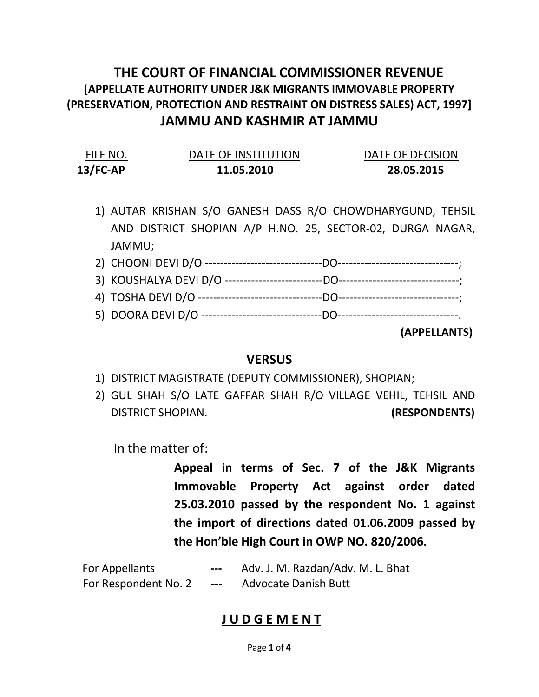## THE COURT OF FINANCIAL COMMISSIONER REVENUE [APPELLATE AUTHORITY UNDER J&K MIGRANTS IMMOVABLE PROPERTY (PRESERVATION, PROTECTION AND RESTRAINT ON DISTRESS SALES) ACT, 1997] JAMMU AND KASHMIR AT JAMMU

| FILE NO.    | DATE OF INSTITUTION | DATE OF DECISION |
|-------------|---------------------|------------------|
| $13$ /FC-AP | 11.05.2010          | 28.05.2015       |

- 1) AUTAR KRISHAN S/O GANESH DASS R/O CHOWDHARYGUND, TEHSIL AND DISTRICT SHOPIAN A/P H.NO. 25, SECTOR-02, DURGA NAGAR, JAMMU;
- 2) CHOONI DEVI D/O -------------------------------DO--------------------------------; 3) KOUSHALYA DEVI D/O --------------------------DO--------------------------------; 4) TOSHA DEVI D/O ---------------------------------DO--------------------------------; 5) DOORA DEVI D/O --------------------------------DO--------------------------------.

(APPELLANTS)

## **VERSUS**

- 1) DISTRICT MAGISTRATE (DEPUTY COMMISSIONER), SHOPIAN;
- 2) GUL SHAH S/O LATE GAFFAR SHAH R/O VILLAGE VEHIL, TEHSIL AND DISTRICT SHOPIAN. (RESPONDENTS)

In the matter of:

Appeal in terms of Sec. 7 of the J&K Migrants Immovable Property Act against order dated 25.03.2010 passed by the respondent No. 1 against the import of directions dated 01.06.2009 passed by the Hon'ble High Court in OWP NO. 820/2006.

| For Appellants       | $\frac{1}{2}$ | Adv. J. M. Razdan/Adv. M. L. Bhat |
|----------------------|---------------|-----------------------------------|
| For Respondent No. 2 | $---$         | <b>Advocate Danish Butt</b>       |

## **JUDGEMENT**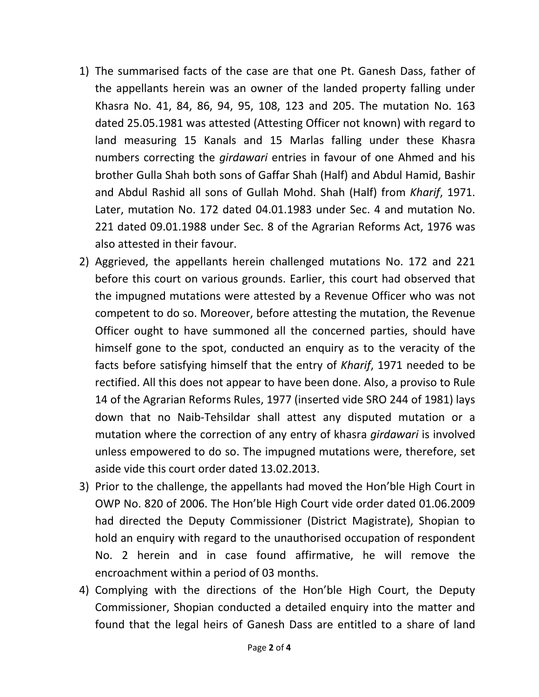- 1) The summarised facts of the case are that one Pt. Ganesh Dass, father of the appellants herein was an owner of the landed property falling under Khasra No. 41, 84, 86, 94, 95, 108, 123 and 205. The mutation No. 163 dated 25.05.1981 was attested (Attesting Officer not known) with regard to land measuring 15 Kanals and 15 Marlas falling under these Khasra numbers correcting the *girdawari* entries in favour of one Ahmed and his brother Gulla Shah both sons of Gaffar Shah (Half) and Abdul Hamid, Bashir and Abdul Rashid all sons of Gullah Mohd. Shah (Half) from Kharif, 1971. Later, mutation No. 172 dated 04.01.1983 under Sec. 4 and mutation No. 221 dated 09.01.1988 under Sec. 8 of the Agrarian Reforms Act, 1976 was also attested in their favour.
- 2) Aggrieved, the appellants herein challenged mutations No. 172 and 221 before this court on various grounds. Earlier, this court had observed that the impugned mutations were attested by a Revenue Officer who was not competent to do so. Moreover, before attesting the mutation, the Revenue Officer ought to have summoned all the concerned parties, should have himself gone to the spot, conducted an enquiry as to the veracity of the facts before satisfying himself that the entry of Kharif, 1971 needed to be rectified. All this does not appear to have been done. Also, a proviso to Rule 14 of the Agrarian Reforms Rules, 1977 (inserted vide SRO 244 of 1981) lays down that no Naib-Tehsildar shall attest any disputed mutation or a mutation where the correction of any entry of khasra *girdawari* is involved unless empowered to do so. The impugned mutations were, therefore, set aside vide this court order dated 13.02.2013.
- 3) Prior to the challenge, the appellants had moved the Hon'ble High Court in OWP No. 820 of 2006. The Hon'ble High Court vide order dated 01.06.2009 had directed the Deputy Commissioner (District Magistrate), Shopian to hold an enquiry with regard to the unauthorised occupation of respondent No. 2 herein and in case found affirmative, he will remove the encroachment within a period of 03 months.
- 4) Complying with the directions of the Hon'ble High Court, the Deputy Commissioner, Shopian conducted a detailed enquiry into the matter and found that the legal heirs of Ganesh Dass are entitled to a share of land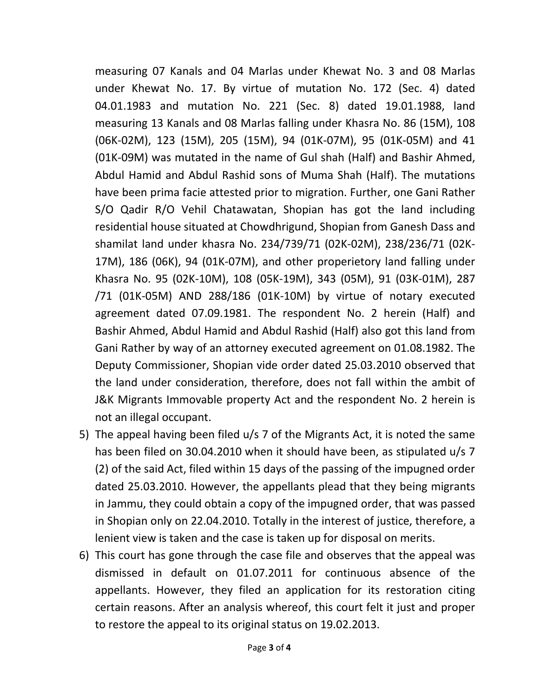measuring 07 Kanals and 04 Marlas under Khewat No. 3 and 08 Marlas under Khewat No. 17. By virtue of mutation No. 172 (Sec. 4) dated 04.01.1983 and mutation No. 221 (Sec. 8) dated 19.01.1988, land measuring 13 Kanals and 08 Marlas falling under Khasra No. 86 (15M), 108 (06K-02M), 123 (15M), 205 (15M), 94 (01K-07M), 95 (01K-05M) and 41 (01K-09M) was mutated in the name of Gul shah (Half) and Bashir Ahmed, Abdul Hamid and Abdul Rashid sons of Muma Shah (Half). The mutations have been prima facie attested prior to migration. Further, one Gani Rather S/O Qadir R/O Vehil Chatawatan, Shopian has got the land including residential house situated at Chowdhrigund, Shopian from Ganesh Dass and shamilat land under khasra No. 234/739/71 (02K-02M), 238/236/71 (02K-17M), 186 (06K), 94 (01K-07M), and other properietory land falling under Khasra No. 95 (02K-10M), 108 (05K-19M), 343 (05M), 91 (03K-01M), 287 /71 (01K-05M) AND 288/186 (01K-10M) by virtue of notary executed agreement dated 07.09.1981. The respondent No. 2 herein (Half) and Bashir Ahmed, Abdul Hamid and Abdul Rashid (Half) also got this land from Gani Rather by way of an attorney executed agreement on 01.08.1982. The Deputy Commissioner, Shopian vide order dated 25.03.2010 observed that the land under consideration, therefore, does not fall within the ambit of J&K Migrants Immovable property Act and the respondent No. 2 herein is not an illegal occupant.

- 5) The appeal having been filed u/s 7 of the Migrants Act, it is noted the same has been filed on 30.04.2010 when it should have been, as stipulated u/s 7 (2) of the said Act, filed within 15 days of the passing of the impugned order dated 25.03.2010. However, the appellants plead that they being migrants in Jammu, they could obtain a copy of the impugned order, that was passed in Shopian only on 22.04.2010. Totally in the interest of justice, therefore, a lenient view is taken and the case is taken up for disposal on merits.
- 6) This court has gone through the case file and observes that the appeal was dismissed in default on 01.07.2011 for continuous absence of the appellants. However, they filed an application for its restoration citing certain reasons. After an analysis whereof, this court felt it just and proper to restore the appeal to its original status on 19.02.2013.